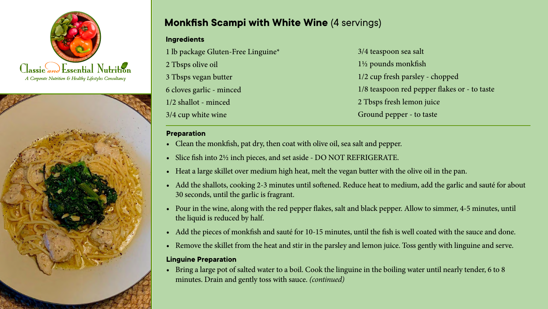



# **Monkfish Scampi with White Wine** (4 servings) **Monkfish Scampi with White Wine**

### **Ingredients**

 lb package Gluten-Free Linguine\* Tbsps olive oil Tbsps vegan butter cloves garlic - minced 1/2 shallot - minced 3/4 cup white wine

3/4 teaspoon sea salt 1½ pounds monkfish 1/2 cup fresh parsley - chopped 1/8 teaspoon red pepper flakes or - to taste 2 Tbsps fresh lemon juice Ground pepper - to taste

## **Preparation**

- Clean the monkfish, pat dry, then coat with olive oil, sea salt and pepper.
- **Property** • Slice fish into 2½ inch pieces, and set aside - DO NOT REFRIGERATE.
- Heat a large skillet over medium high heat, melt the vegan butter with the olive oil in the pan.  $\qquad \qquad$
- Add the shallots, cooking 2-3 minutes until softened. Reduce heat to medium, add the garlic and sauté for about 30 seconds, until the garlic is fragrant.
- Pour in the wine, along with the red pepper flakes, salt and black pepper. Allow to simmer, 4-5 minutes, until the liquid is reduced by half.
- Add the pieces of monkfish and sauté for 10-15 minutes, until the fish is well coated with the sauce and done.
- Remove the skillet from the heat and stir in the parsley and lemon juice. Toss gently with linguine and serve.

# • Pour the olive oil into pot, add garlic and onion and saute 3-4 minutes, until the onion is translucent. Add the **Linguine Preparation**

• Bring a large pot of salted water to a boil. Cook the linguine in the boiling water until nearly tender, 6 to 8 minutes. Drain and gently toss with sauce. *(continued)*